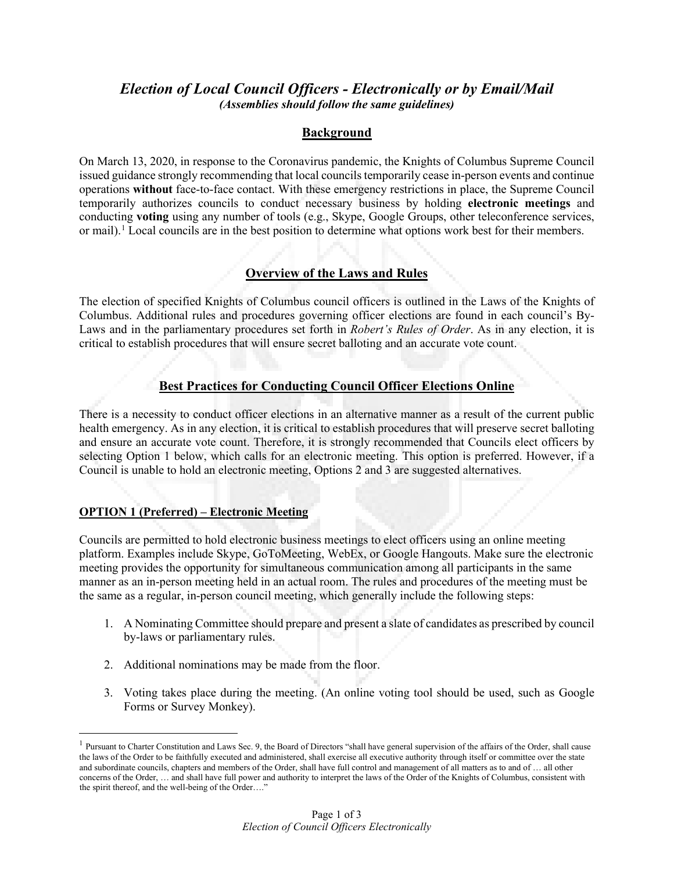# *Election of Local Council Officers - Electronically or by Email/Mail (Assemblies should follow the same guidelines)*

## **Background**

On March 13, 2020, in response to the Coronavirus pandemic, the Knights of Columbus Supreme Council issued guidance strongly recommending that local councils temporarily cease in-person events and continue operations **without** face-to-face contact. With these emergency restrictions in place, the Supreme Council temporarily authorizes councils to conduct necessary business by holding **electronic meetings** and conducting **voting** using any number of tools (e.g., Skype, Google Groups, other teleconference services, or mail)[.1](#page-0-0) Local councils are in the best position to determine what options work best for their members.

## **Overview of the Laws and Rules**

The election of specified Knights of Columbus council officers is outlined in the Laws of the Knights of Columbus. Additional rules and procedures governing officer elections are found in each council's By-Laws and in the parliamentary procedures set forth in *Robert's Rules of Order*. As in any election, it is critical to establish procedures that will ensure secret balloting and an accurate vote count.

## **Best Practices for Conducting Council Officer Elections Online**

There is a necessity to conduct officer elections in an alternative manner as a result of the current public health emergency. As in any election, it is critical to establish procedures that will preserve secret balloting and ensure an accurate vote count. Therefore, it is strongly recommended that Councils elect officers by selecting Option 1 below, which calls for an electronic meeting. This option is preferred. However, if a Council is unable to hold an electronic meeting, Options 2 and 3 are suggested alternatives.

#### **OPTION 1 (Preferred) – Electronic Meeting**

Councils are permitted to hold electronic business meetings to elect officers using an online meeting platform. Examples include Skype, GoToMeeting, WebEx, or Google Hangouts. Make sure the electronic meeting provides the opportunity for simultaneous communication among all participants in the same manner as an in-person meeting held in an actual room. The rules and procedures of the meeting must be the same as a regular, in-person council meeting, which generally include the following steps:

- 1. A Nominating Committee should prepare and present a slate of candidates as prescribed by council by-laws or parliamentary rules.
- 2. Additional nominations may be made from the floor.
- 3. Voting takes place during the meeting. (An online voting tool should be used, such as Google Forms or Survey Monkey).

<span id="page-0-0"></span> $<sup>1</sup>$  Pursuant to Charter Constitution and Laws Sec. 9, the Board of Directors "shall have general supervision of the affairs of the Order, shall cause</sup> the laws of the Order to be faithfully executed and administered, shall exercise all executive authority through itself or committee over the state and subordinate councils, chapters and members of the Order, shall have full control and management of all matters as to and of … all other concerns of the Order, … and shall have full power and authority to interpret the laws of the Order of the Knights of Columbus, consistent with the spirit thereof, and the well-being of the Order…."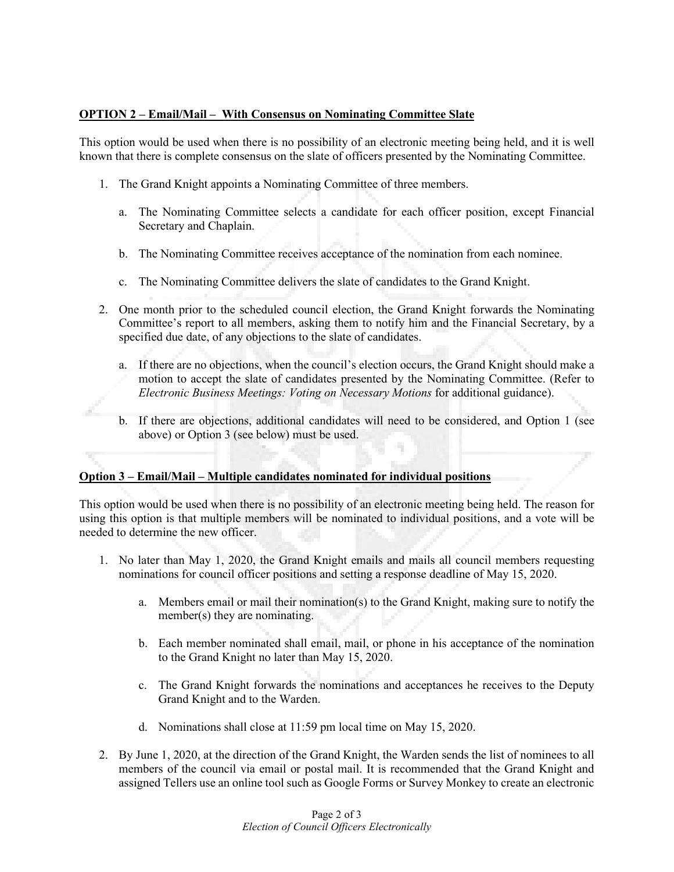#### **OPTION 2 – Email/Mail – With Consensus on Nominating Committee Slate**

This option would be used when there is no possibility of an electronic meeting being held, and it is well known that there is complete consensus on the slate of officers presented by the Nominating Committee.

- 1. The Grand Knight appoints a Nominating Committee of three members.
	- a. The Nominating Committee selects a candidate for each officer position, except Financial Secretary and Chaplain.
	- b. The Nominating Committee receives acceptance of the nomination from each nominee.
	- c. The Nominating Committee delivers the slate of candidates to the Grand Knight.
- 2. One month prior to the scheduled council election, the Grand Knight forwards the Nominating Committee's report to all members, asking them to notify him and the Financial Secretary, by a specified due date, of any objections to the slate of candidates.
	- a. If there are no objections, when the council's election occurs, the Grand Knight should make a motion to accept the slate of candidates presented by the Nominating Committee. (Refer to *Electronic Business Meetings: Voting on Necessary Motions* for additional guidance).
	- b. If there are objections, additional candidates will need to be considered, and Option 1 (see above) or Option 3 (see below) must be used.

#### **Option 3 – Email/Mail – Multiple candidates nominated for individual positions**

This option would be used when there is no possibility of an electronic meeting being held. The reason for using this option is that multiple members will be nominated to individual positions, and a vote will be needed to determine the new officer.

- 1. No later than May 1, 2020, the Grand Knight emails and mails all council members requesting nominations for council officer positions and setting a response deadline of May 15, 2020.
	- a. Members email or mail their nomination(s) to the Grand Knight, making sure to notify the member(s) they are nominating.
	- b. Each member nominated shall email, mail, or phone in his acceptance of the nomination to the Grand Knight no later than May 15, 2020.
	- c. The Grand Knight forwards the nominations and acceptances he receives to the Deputy Grand Knight and to the Warden.
	- d. Nominations shall close at 11:59 pm local time on May 15, 2020.
- 2. By June 1, 2020, at the direction of the Grand Knight, the Warden sends the list of nominees to all members of the council via email or postal mail. It is recommended that the Grand Knight and assigned Tellers use an online tool such as Google Forms or Survey Monkey to create an electronic